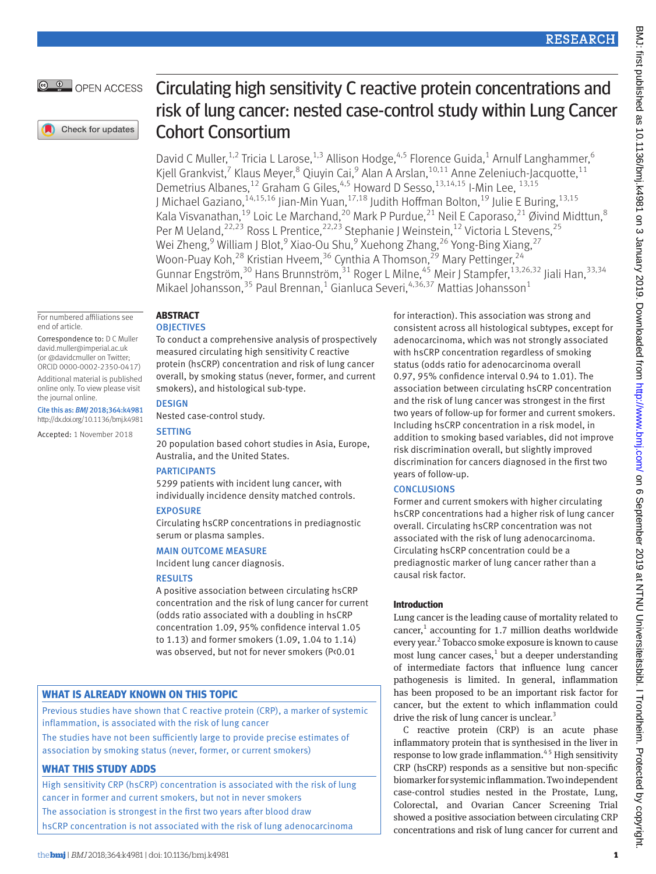# OPEN ACCESS

Check for updates

# Circulating high sensitivity C reactive protein concentrations and risk of lung cancer: nested case-control study within Lung Cancer Cohort Consortium

David C Muller,<sup>1,2</sup> Tricia L Larose,<sup>1,3</sup> Allison Hodge,<sup>4,5</sup> Florence Guida,<sup>1</sup> Arnulf Langhammer,<sup>6</sup> Kjell Grankvist,<sup>7</sup> Klaus Meyer,<sup>8</sup> Qiuyin Cai,<sup>9</sup> Alan A Arslan,<sup>10,11</sup> Anne Zeleniuch-Jacquotte,<sup>11</sup> Demetrius Albanes,<sup>12</sup> Graham G Giles,<sup>4,5</sup> Howard D Sesso,<sup>13,14,15</sup> I-Min Lee, <sup>13,15</sup> J Michael Gaziano,<sup>14,15,16</sup> Jian-Min Yuan,<sup>17,18</sup> Judith Hoffman Bolton,<sup>19</sup> Julie E Buring,<sup>13,15</sup> Kala Visvanathan,<sup>19</sup> Loic Le Marchand,<sup>20</sup> Mark P Purdue,<sup>21</sup> Neil E Caporaso,<sup>21</sup> Øivind Midttun,<sup>8</sup> Per M Ueland,<sup>22,23</sup> Ross L Prentice,<sup>22,23</sup> Stephanie J Weinstein,<sup>12</sup> Victoria L Stevens,<sup>25</sup> Wei Zheng,<sup>9</sup> William J Blot,<sup>9</sup> Xiao-Ou Shu,<sup>9</sup> Xuehong Zhang,<sup>26</sup> Yong-Bing Xiang,<sup>27</sup> Woon-Puay Koh,<sup>28</sup> Kristian Hveem,<sup>36</sup> Cynthia A Thomson,<sup>29</sup> Mary Pettinger,<sup>24</sup> Gunnar Engström,  $30$  Hans Brunnström,  $31$  Roger L Milne,  $45$  Meir J Stampfer,  $13,26,32$  Jiali Han,  $33,34$ Mikael Johansson,<sup>35</sup> Paul Brennan,<sup>1</sup> Gianluca Severi, <sup>4,36,37</sup> Mattias Johansson<sup>1</sup>

For numbered affiliations see end of article.

Correspondence to: D C Muller [david.muller@imperial.ac.uk](mailto:david.muller@imperial.ac.uk)  (or [@davidcmuller](https://twitter.com/davidcmuller) on Twitter; ORCID [0000-0002-2350-0417\)](http://orcid.org/0000-0002-2350-0417)

Additional material is published online only. To view please visit the journal online.

Cite this as: *BMJ* 2018;364:k4981 http://dx.doi.org/10.1136/bmj.k4981

Accepted: 1 November 2018

#### **Abstract OBJECTIVES**

To conduct a comprehensive analysis of prospectively measured circulating high sensitivity C reactive protein (hsCRP) concentration and risk of lung cancer overall, by smoking status (never, former, and current smokers), and histological sub-type.

# **DESIGN**

Nested case-control study.

# **SETTING**

20 population based cohort studies in Asia, Europe, Australia, and the United States.

# **PARTICIPANTS**

5299 patients with incident lung cancer, with individually incidence density matched controls.

# **EXPOSURE**

Circulating hsCRP concentrations in prediagnostic serum or plasma samples.

# Main outcome measure

Incident lung cancer diagnosis.

# **RESULTS**

A positive association between circulating hsCRP concentration and the risk of lung cancer for current (odds ratio associated with a doubling in hsCRP concentration 1.09, 95% confidence interval 1.05 to 1.13) and former smokers (1.09, 1.04 to 1.14) was observed, but not for never smokers (P<0.01

# **What is already known on this topic**

Previous studies have shown that C reactive protein (CRP), a marker of systemic inflammation, is associated with the risk of lung cancer

The studies have not been sufficiently large to provide precise estimates of association by smoking status (never, former, or current smokers)

# **What this study adds**

High sensitivity CRP (hsCRP) concentration is associated with the risk of lung cancer in former and current smokers, but not in never smokers The association is strongest in the first two years after blood draw hsCRP concentration is not associated with the risk of lung adenocarcinoma

for interaction). This association was strong and consistent across all histological subtypes, except for adenocarcinoma, which was not strongly associated with hsCRP concentration regardless of smoking status (odds ratio for adenocarcinoma overall 0.97, 95% confidence interval 0.94 to 1.01). The association between circulating hsCRP concentration and the risk of lung cancer was strongest in the first two years of follow-up for former and current smokers. Including hsCRP concentration in a risk model, in addition to smoking based variables, did not improve risk discrimination overall, but slightly improved discrimination for cancers diagnosed in the first two years of follow-up.

# **CONCLUSIONS**

Former and current smokers with higher circulating hsCRP concentrations had a higher risk of lung cancer overall. Circulating hsCRP concentration was not associated with the risk of lung adenocarcinoma. Circulating hsCRP concentration could be a prediagnostic marker of lung cancer rather than a causal risk factor.

# **Introduction**

Lung cancer is the leading cause of mortality related to cancer,<sup>1</sup> accounting for 1.7 million deaths worldwide every year.<sup>2</sup> Tobacco smoke exposure is known to cause most lung cancer cases, $<sup>1</sup>$  but a deeper understanding</sup> of intermediate factors that influence lung cancer pathogenesis is limited. In general, inflammation has been proposed to be an important risk factor for cancer, but the extent to which inflammation could drive the risk of lung cancer is unclear.<sup>3</sup>

C reactive protein (CRP) is an acute phase inflammatory protein that is synthesised in the liver in response to low grade inflammation.<sup>45</sup> High sensitivity CRP (hsCRP) responds as a sensitive but non-specific biomarker for systemic inflammation. Two independent case-control studies nested in the Prostate, Lung, Colorectal, and Ovarian Cancer Screening Trial showed a positive association between circulating CRP concentrations and risk of lung cancer for current and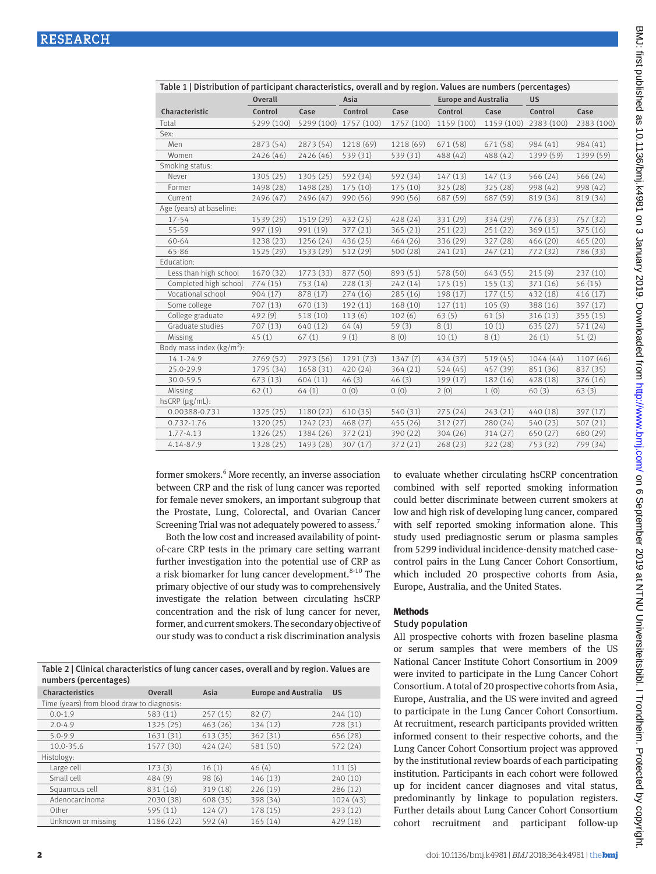| Table 1   Distribution of participant characteristics, overall and by region. Values are numbers (percentages) |            |           |                       |            |                             |            |            |            |
|----------------------------------------------------------------------------------------------------------------|------------|-----------|-----------------------|------------|-----------------------------|------------|------------|------------|
|                                                                                                                | Overall    |           | Asia                  |            | <b>Europe and Australia</b> |            | <b>US</b>  |            |
| Characteristic                                                                                                 | Control    | Case      | Control               | Case       | Control                     | Case       | Control    | Case       |
| Total                                                                                                          | 5299 (100) |           | 5299 (100) 1757 (100) | 1757 (100) | 1159 (100)                  | 1159 (100) | 2383 (100) | 2383 (100) |
| Sex:                                                                                                           |            |           |                       |            |                             |            |            |            |
| Men                                                                                                            | 2873 (54)  | 2873 (54) | 1218 (69)             | 1218 (69)  | 671 (58)                    | 671 (58)   | 984 (41)   | 984 (41)   |
| Women                                                                                                          | 2426 (46)  | 2426 (46) | 539 (31)              | 539 (31)   | 488 (42)                    | 488 (42)   | 1399 (59)  | 1399 (59)  |
| Smoking status:                                                                                                |            |           |                       |            |                             |            |            |            |
| Never                                                                                                          | 1305 (25)  | 1305 (25) | 592 (34)              | 592 (34)   | 147(13)                     | 147 (13    | 566(24)    | 566 (24)   |
| Former                                                                                                         | 1498 (28)  | 1498 (28) | 175 (10)              | 175(10)    | 325 (28)                    | 325 (28)   | 998 (42)   | 998 (42)   |
| Current                                                                                                        | 2496 (47)  | 2496 (47) | 990 (56)              | 990 (56)   | 687 (59)                    | 687 (59)   | 819 (34)   | 819 (34)   |
| Age (years) at baseline:                                                                                       |            |           |                       |            |                             |            |            |            |
| $17 - 54$                                                                                                      | 1539 (29)  | 1519 (29) | 432 (25)              | 428 (24)   | 331 (29)                    | 334 (29)   | 776 (33)   | 757 (32)   |
| 55-59                                                                                                          | 997 (19)   | 991 (19)  | 377 (21)              | 365(21)    | 251(22)                     | 251(22)    | 369(15)    | 375(16)    |
| 60-64                                                                                                          | 1238 (23)  | 1256 (24) | 436(25)               | 464(26)    | 336 (29)                    | 327(28)    | 466 (20)   | 465(20)    |
| 65-86                                                                                                          | 1525 (29)  | 1533 (29) | 512 (29)              | 500(28)    | 241(21)                     | 247(21)    | 772 (32)   | 786 (33)   |
| Education:                                                                                                     |            |           |                       |            |                             |            |            |            |
| Less than high school                                                                                          | 1670 (32)  | 1773 (33) | 877 (50)              | 893 (51)   | 578 (50)                    | 643(55)    | 215(9)     | 237 (10)   |
| Completed high school                                                                                          | 774(15)    | 753(14)   | 228(13)               | 242(14)    | 175(15)                     | 155(13)    | 371 (16)   | 56(15)     |
| Vocational school                                                                                              | 904(17)    | 878 (17)  | 274(16)               | 285(16)    | 198 (17)                    | 177(15)    | 432 (18)   | 416(17)    |
| Some college                                                                                                   | 707(13)    | 670 (13)  | 192(11)               | 168 (10)   | 127(11)                     | 105(9)     | 388 (16)   | 397 (17)   |
| College graduate                                                                                               | 492 (9)    | 518 (10)  | 113(6)                | 102(6)     | 63(5)                       | 61(5)      | 316(13)    | 355 (15)   |
| Graduate studies                                                                                               | 707 (13)   | 640 (12)  | 64(4)                 | 59(3)      | 8(1)                        | 10(1)      | 635 (27)   | 571 (24)   |
| Missing                                                                                                        | 45(1)      | 67(1)     | 9(1)                  | 8(0)       | 10(1)                       | 8(1)       | 26(1)      | 51(2)      |
| Body mass index $(kg/m2)$ :                                                                                    |            |           |                       |            |                             |            |            |            |
| 14.1-24.9                                                                                                      | 2769 (52)  | 2973 (56) | 1291 (73)             | 1347(7)    | 434 (37)                    | 519(45)    | 1044(44)   | 1107(46)   |
| 25.0-29.9                                                                                                      | 1795 (34)  | 1658 (31) | 420(24)               | 364(21)    | 524(45)                     | 457 (39)   | 851 (36)   | 837 (35)   |
| 30.0-59.5                                                                                                      | 673(13)    | 604(11)   | 46(3)                 | 46(3)      | 199(17)                     | 182 (16)   | 428 (18)   | 376 (16)   |
| Missing                                                                                                        | 62(1)      | 64(1)     | 0(0)                  | 0(0)       | 2(0)                        | 1(0)       | 60(3)      | 63(3)      |
| $hscRP$ ( $\mu$ g/mL):                                                                                         |            |           |                       |            |                             |            |            |            |
| 0.00388-0.731                                                                                                  | 1325 (25)  | 1180 (22) | 610 (35)              | 540 (31)   | 275(24)                     | 243(21)    | 440 (18)   | 397 (17)   |
| $0.732 - 1.76$                                                                                                 | 1320 (25)  | 1242 (23) | 468(27)               | 455(26)    | 312(27)                     | 280(24)    | 540 (23)   | 507(21)    |
| $1.77 - 4.13$                                                                                                  | 1326 (25)  | 1384 (26) | 372 (21)              | 390 (22)   | 304(26)                     | 314(27)    | 650 (27)   | 680 (29)   |
| 4.14-87.9                                                                                                      | 1328 (25)  | 1493 (28) | 307(17)               | 372(21)    | 268(23)                     | 322 (28)   | 753(32)    | 799 (34)   |

former smokers.<sup>6</sup> More recently, an inverse association between CRP and the risk of lung cancer was reported for female never smokers, an important subgroup that the Prostate, Lung, Colorectal, and Ovarian Cancer Screening Trial was not adequately powered to assess.<sup>7</sup>

Both the low cost and increased availability of pointof-care CRP tests in the primary care setting warrant further investigation into the potential use of CRP as a risk biomarker for lung cancer development.<sup>8-10</sup> The primary objective of our study was to comprehensively investigate the relation between circulating hsCRP concentration and the risk of lung cancer for never, former, and current smokers. The secondary objective of our study was to conduct a risk discrimination analysis

Table 2 | Clinical characteristics of lung cancer cases, overall and by region. Values are numbers (percentages)

| Characteristics                            | Overall   | Asia     | <b>Europe and Australia</b> | <b>US</b> |
|--------------------------------------------|-----------|----------|-----------------------------|-----------|
| Time (years) from blood draw to diagnosis: |           |          |                             |           |
| $0.0 - 1.9$                                | 583 (11)  | 257(15)  | 82(7)                       | 244(10)   |
| $2.0 - 4.9$                                | 1325 (25) | 463 (26) | 134 (12)                    | 728 (31)  |
| $5.0 - 9.9$                                | 1631 (31) | 613(35)  | 362 (31)                    | 656 (28)  |
| 10.0-35.6                                  | 1577 (30) | 424(24)  | 581 (50)                    | 572(24)   |
| Histology:                                 |           |          |                             |           |
| Large cell                                 | 173(3)    | 16(1)    | 46(4)                       | 111(5)    |
| Small cell                                 | 484(9)    | 98(6)    | 146(13)                     | 240(10)   |
| Squamous cell                              | 831 (16)  | 319(18)  | 226(19)                     | 286(12)   |
| Adenocarcinoma                             | 2030 (38) | 608(35)  | 398 (34)                    | 1024(43)  |
| Other                                      | 595 (11)  | 124(7)   | 178 (15)                    | 293 (12)  |
| Unknown or missing                         | 1186 (22) | 592(4)   | 165(14)                     | 429(18)   |

to evaluate whether circulating hsCRP concentration combined with self reported smoking information could better discriminate between current smokers at low and high risk of developing lung cancer, compared with self reported smoking information alone. This study used prediagnostic serum or plasma samples from 5299 individual incidence-density matched casecontrol pairs in the Lung Cancer Cohort Consortium, which included 20 prospective cohorts from Asia, Europe, Australia, and the United States.

#### **Methods**

#### Study population

All prospective cohorts with frozen baseline plasma or serum samples that were members of the US National Cancer Institute Cohort Consortium in 2009 were invited to participate in the Lung Cancer Cohort Consortium. A total of 20 prospective cohorts from Asia, Europe, Australia, and the US were invited and agreed to participate in the Lung Cancer Cohort Consortium. At recruitment, research participants provided written informed consent to their respective cohorts, and the Lung Cancer Cohort Consortium project was approved by the institutional review boards of each participating institution. Participants in each cohort were followed up for incident cancer diagnoses and vital status, predominantly by linkage to population registers. Further details about Lung Cancer Cohort Consortium cohort recruitment and participant follow-up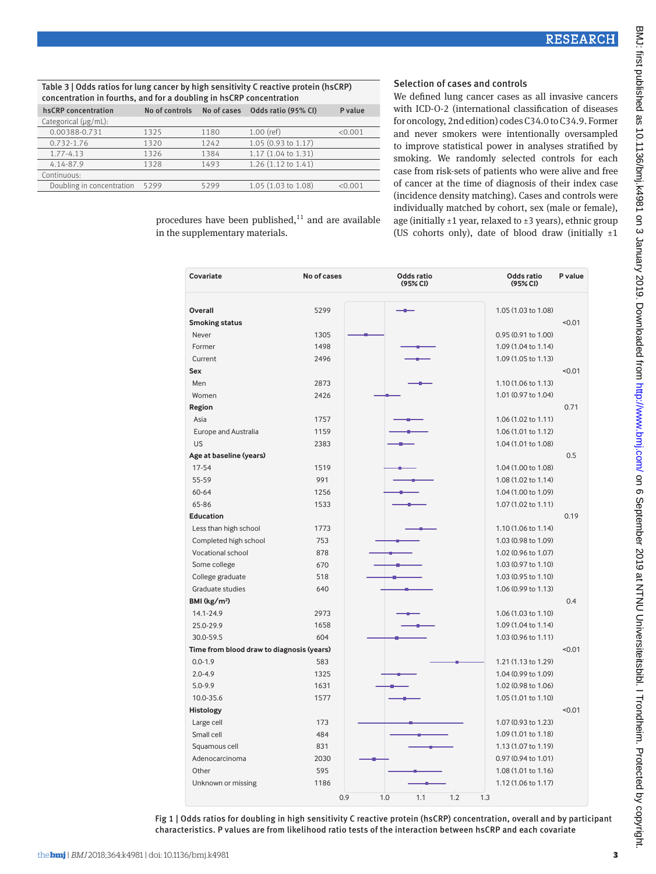Selection of cases and controls We defined lung cancer cases as all invasive cancers with ICD-O-2 (international classification of diseases for oncology, 2nd edition) codes C34.0 to C34.9. Former and never smokers were intentionally oversampled to improve statistical power in analyses stratified by smoking. We randomly selected controls for each case from risk-sets of patients who were alive and free of cancer at the time of diagnosis of their index case (incidence density matching). Cases and controls were individually matched by cohort, sex (male or female), age (initially  $\pm 1$  year, relaxed to  $\pm 3$  years), ethnic group (US cohorts only), date of blood draw (initially  $\pm 1$ 

1.77-4.13 1326 1384 1.17 (1.04 to 1.31) 4.14-87.9 1328 1493 1.26 (1.12 to 1.41) Doubling in concentration 5299 5299 1.05 (1.03 to 1.08) <0.001

Table 3 | Odds ratios for lung cancer by high sensitivity C reactive protein (hsCRP)

hsCRP concentration Mo of controls No of cases Odds ratio (95% CI) P value

0.00388-0.731 1325 1180 1.00 (ref) <0.001

concentration in fourths, and for a doubling in hsCRP concentration

0.732-1.76 1320 1242 1.05 (0.93 to 1.17)

Categorical (μg/mL):

Continuous:

procedures have been published, $11$  and are available in the supplementary materials.

| Covariate                                 | No of cases | Odds ratio<br>(95% CI) | Odds ratio<br>(95% CI) | P value |
|-------------------------------------------|-------------|------------------------|------------------------|---------|
|                                           |             |                        |                        |         |
| Overall                                   | 5299        |                        | 1.05 (1.03 to 1.08)    |         |
| <b>Smoking status</b>                     |             |                        |                        | < 0.01  |
| Never                                     | 1305        |                        | 0.95 (0.91 to 1.00)    |         |
| Former                                    | 1498        |                        | 1.09 (1.04 to 1.14)    |         |
| Current                                   | 2496        |                        | 1.09 (1.05 to 1.13)    |         |
| Sex                                       |             |                        |                        | < 0.01  |
| Men                                       | 2873        |                        | 1.10 (1.06 to 1.13)    |         |
| Women                                     | 2426        |                        | 1.01 (0.97 to 1.04)    |         |
| Region                                    |             |                        |                        | 0.71    |
| Asia                                      | 1757        |                        | 1.06 (1.02 to 1.11)    |         |
| Europe and Australia                      | 1159        |                        | 1.06 (1.01 to 1.12)    |         |
| US                                        | 2383        |                        | 1.04 (1.01 to 1.08)    |         |
| Age at baseline (years)                   |             |                        |                        | 0.5     |
| 17-54                                     | 1519        |                        | 1.04 (1.00 to 1.08)    |         |
| 55-59                                     | 991         |                        | 1.08 (1.02 to 1.14)    |         |
| 60-64                                     | 1256        |                        | 1.04 (1.00 to 1.09)    |         |
| 65-86                                     | 1533        |                        | 1.07 (1.02 to 1.11)    |         |
| <b>Education</b>                          |             |                        |                        | 0.19    |
| Less than high school                     | 1773        |                        | 1.10 (1.06 to 1.14)    |         |
| Completed high school                     | 753         |                        | 1.03 (0.98 to 1.09)    |         |
| <b>Vocational school</b>                  | 878         |                        | 1.02 (0.96 to 1.07)    |         |
| Some college                              | 670         |                        | 1.03 (0.97 to 1.10)    |         |
| College graduate                          | 518         |                        | 1.03 (0.95 to 1.10)    |         |
| Graduate studies                          | 640         |                        | 1.06 (0.99 to 1.13)    |         |
| BMI (kg/m <sup>2</sup> )                  |             |                        |                        | 0.4     |
| 14.1-24.9                                 | 2973        |                        | 1.06 (1.03 to 1.10)    |         |
| 25.0-29.9                                 | 1658        |                        | 1.09 (1.04 to 1.14)    |         |
| 30.0-59.5                                 | 604         |                        | 1.03 (0.96 to 1.11)    |         |
| Time from blood draw to diagnosis (years) |             |                        |                        | < 0.01  |
| $0.0 - 1.9$                               | 583         |                        | 1.21 (1.13 to 1.29)    |         |
| $2.0 - 4.9$                               | 1325        |                        | 1.04 (0.99 to 1.09)    |         |
| $5.0 - 9.9$                               | 1631        |                        | 1.02 (0.98 to 1.06)    |         |
| 10.0-35.6                                 | 1577        |                        | 1.05 (1.01 to 1.10)    |         |
| <b>Histology</b>                          |             |                        |                        | < 0.01  |
| Large cell                                | 173         |                        | 1.07 (0.93 to 1.23)    |         |
| Small cell                                | 484         |                        | 1.09 (1.01 to 1.18)    |         |
| Squamous cell                             | 831         |                        | 1.13 (1.07 to 1.19)    |         |
| Adenocarcinoma                            | 2030        |                        | 0.97 (0.94 to 1.01)    |         |
| Other                                     | 595         |                        | 1.08 (1.01 to 1.16)    |         |
| Unknown or missing                        | 1186        |                        | 1.12 (1.06 to 1.17)    |         |
|                                           | 0.9         | 1.0<br>1.1<br>1.2      | 1.3                    |         |

Fig 1 | Odds ratios for doubling in high sensitivity C reactive protein (hsCRP) concentration, overall and by participant characteristics. P values are from likelihood ratio tests of the interaction between hsCRP and each covariate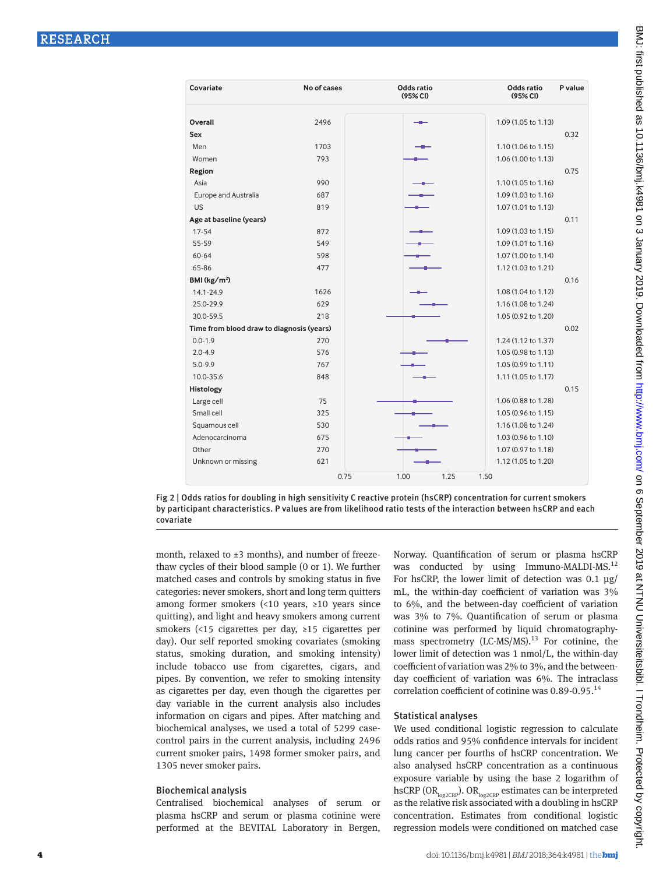| Covariate                                 | No of cases | Odds ratio<br>(95% <sub>C</sub> ) | Odds ratio<br>(95% CI) | P value |
|-------------------------------------------|-------------|-----------------------------------|------------------------|---------|
| Overall                                   | 2496        |                                   | 1.09 (1.05 to 1.13)    |         |
| <b>Sex</b>                                |             |                                   |                        | 0.32    |
| Men                                       | 1703        |                                   | 1.10 (1.06 to 1.15)    |         |
| Women                                     | 793         |                                   | 1.06 (1.00 to 1.13)    |         |
| Region                                    |             |                                   |                        | 0.75    |
| Asia                                      | 990         |                                   | 1.10 (1.05 to 1.16)    |         |
| Europe and Australia                      | 687         |                                   | 1.09 (1.03 to 1.16)    |         |
| <b>US</b>                                 | 819         |                                   | 1.07 (1.01 to 1.13)    |         |
| Age at baseline (years)                   |             |                                   |                        | 0.11    |
| $17 - 54$                                 | 872         |                                   | 1.09 (1.03 to 1.15)    |         |
| 55-59                                     | 549         |                                   | 1.09 (1.01 to 1.16)    |         |
| $60 - 64$                                 | 598         |                                   | 1.07 (1.00 to 1.14)    |         |
| 65-86                                     | 477         |                                   | 1.12 (1.03 to 1.21)    |         |
| BMI (kg/m <sup>2</sup> )                  |             |                                   |                        | 0.16    |
| 14.1-24.9                                 | 1626        |                                   | 1.08 (1.04 to 1.12)    |         |
| 25.0-29.9                                 | 629         |                                   | 1.16 (1.08 to 1.24)    |         |
| 30.0-59.5                                 | 218         |                                   | 1.05 (0.92 to 1.20)    |         |
| Time from blood draw to diagnosis (years) |             |                                   |                        | 0.02    |
| $0.0 - 1.9$                               | 270         |                                   | 1.24 (1.12 to 1.37)    |         |
| $2.0 - 4.9$                               | 576         |                                   | 1.05 (0.98 to 1.13)    |         |
| $5.0 - 9.9$                               | 767         |                                   | 1.05 (0.99 to 1.11)    |         |
| 10.0-35.6                                 | 848         |                                   | 1.11 (1.05 to 1.17)    |         |
| Histology                                 |             |                                   |                        | 0.15    |
| Large cell                                | 75          |                                   | 1.06 (0.88 to 1.28)    |         |
| Small cell                                | 325         |                                   | 1.05 (0.96 to 1.15)    |         |
| Squamous cell                             | 530         |                                   | 1.16 (1.08 to 1.24)    |         |
| Adenocarcinoma                            | 675         |                                   | 1.03 (0.96 to 1.10)    |         |
| Other                                     | 270         |                                   | 1.07 (0.97 to 1.18)    |         |
| Unknown or missing                        | 621         |                                   | 1.12 (1.05 to 1.20)    |         |

Fig 2 | Odds ratios for doubling in high sensitivity C reactive protein (hsCRP) concentration for current smokers by participant characteristics. P values are from likelihood ratio tests of the interaction between hsCRP and each covariate

month, relaxed to  $\pm 3$  months), and number of freezethaw cycles of their blood sample (0 or 1). We further matched cases and controls by smoking status in five categories: never smokers, short and long term quitters among former smokers (<10 years, ≥10 years since quitting), and light and heavy smokers among current smokers (<15 cigarettes per day, ≥15 cigarettes per day). Our self reported smoking covariates (smoking status, smoking duration, and smoking intensity) include tobacco use from cigarettes, cigars, and pipes. By convention, we refer to smoking intensity as cigarettes per day, even though the cigarettes per day variable in the current analysis also includes information on cigars and pipes. After matching and biochemical analyses, we used a total of 5299 casecontrol pairs in the current analysis, including 2496 current smoker pairs, 1498 former smoker pairs, and 1305 never smoker pairs.

#### Biochemical analysis

Centralised biochemical analyses of serum or plasma hsCRP and serum or plasma cotinine were performed at the BEVITAL Laboratory in Bergen, Norway. Quantification of serum or plasma hsCRP was conducted by using Immuno-MALDI-MS.<sup>12</sup> For hsCRP, the lower limit of detection was 0.1 μg/ mL, the within-day coefficient of variation was 3% to 6%, and the between-day coefficient of variation was 3% to 7%. Quantification of serum or plasma cotinine was performed by liquid chromatographymass spectrometry  $(LC-MS/MS)$ .<sup>13</sup> For cotinine, the lower limit of detection was 1 nmol/L, the within-day coefficient of variation was 2% to 3%, and the betweenday coefficient of variation was 6%. The intraclass correlation coefficient of cotinine was  $0.89$ -0.95.<sup>14</sup>

#### Statistical analyses

We used conditional logistic regression to calculate odds ratios and 95% confidence intervals for incident lung cancer per fourths of hsCRP concentration. We also analysed hsCRP concentration as a continuous exposure variable by using the base 2 logarithm of hsCRP (OR<sub>log2CRP</sub>). OR<sub>log2CRP</sub> estimates can be interpreted as the relative risk associated with a doubling in hsCRP concentration. Estimates from conditional logistic regression models were conditioned on matched case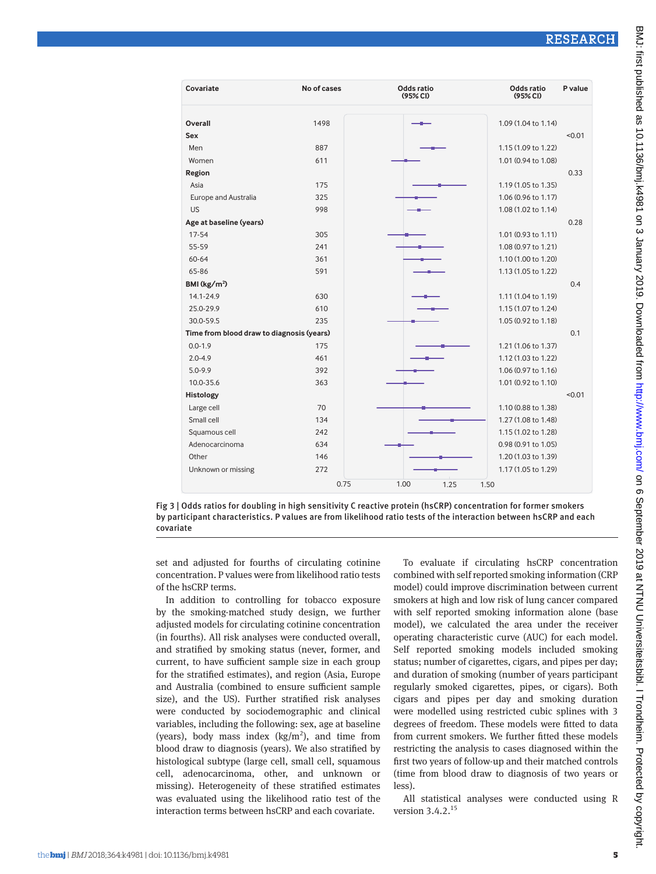| Covariate                                 | No of cases | <b>Odds ratio</b><br>(95% CI) | Odds ratio<br>(95% CI) | P value |
|-------------------------------------------|-------------|-------------------------------|------------------------|---------|
| Overall                                   | 1498        |                               | 1.09 (1.04 to 1.14)    |         |
| Sex                                       |             |                               |                        | < 0.01  |
| Men                                       | 887         |                               | 1.15 (1.09 to 1.22)    |         |
| Women                                     | 611         |                               | 1.01 (0.94 to 1.08)    |         |
| Region                                    |             |                               |                        | 0.33    |
| Asia                                      | 175         |                               | 1.19 (1.05 to 1.35)    |         |
| Europe and Australia                      | 325         |                               | 1.06 (0.96 to 1.17)    |         |
| <b>US</b>                                 | 998         |                               | 1.08 (1.02 to 1.14)    |         |
| Age at baseline (years)                   |             |                               |                        | 0.28    |
| 17-54                                     | 305         |                               | 1.01 (0.93 to 1.11)    |         |
| 55-59                                     | 241         |                               | 1.08 (0.97 to 1.21)    |         |
| 60-64                                     | 361         |                               | 1.10 (1.00 to 1.20)    |         |
| 65-86                                     | 591         |                               | 1.13 (1.05 to 1.22)    |         |
| BMI ( $kg/m2$ )                           |             |                               |                        | 0.4     |
| 14.1-24.9                                 | 630         |                               | 1.11 (1.04 to 1.19)    |         |
| 25.0-29.9                                 | 610         |                               | 1.15 (1.07 to 1.24)    |         |
| 30.0-59.5                                 | 235         |                               | 1.05 (0.92 to 1.18)    |         |
| Time from blood draw to diagnosis (years) |             |                               |                        | 0.1     |
| $0.0 - 1.9$                               | 175         |                               | 1.21 (1.06 to 1.37)    |         |
| $2.0 - 4.9$                               | 461         |                               | 1.12 (1.03 to 1.22)    |         |
| $5.0 - 9.9$                               | 392         |                               | 1.06 (0.97 to 1.16)    |         |
| 10.0-35.6                                 | 363         |                               | 1.01 (0.92 to 1.10)    |         |
| Histology                                 |             |                               |                        | < 0.01  |
| Large cell                                | 70          |                               | 1.10 (0.88 to 1.38)    |         |
| Small cell                                | 134         |                               | 1.27 (1.08 to 1.48)    |         |
| Squamous cell                             | 242         |                               | 1.15 (1.02 to 1.28)    |         |
| Adenocarcinoma                            | 634         |                               | 0.98 (0.91 to 1.05)    |         |
| Other                                     | 146         |                               | 1.20 (1.03 to 1.39)    |         |
| Unknown or missing                        | 272         |                               | 1.17 (1.05 to 1.29)    |         |

Fig 3 | Odds ratios for doubling in high sensitivity C reactive protein (hsCRP) concentration for former smokers by participant characteristics. P values are from likelihood ratio tests of the interaction between hsCRP and each covariate

set and adjusted for fourths of circulating cotinine concentration. P values were from likelihood ratio tests of the hsCRP terms.

In addition to controlling for tobacco exposure by the smoking-matched study design, we further adjusted models for circulating cotinine concentration (in fourths). All risk analyses were conducted overall, and stratified by smoking status (never, former, and current, to have sufficient sample size in each group for the stratified estimates), and region (Asia, Europe and Australia (combined to ensure sufficient sample size), and the US). Further stratified risk analyses were conducted by sociodemographic and clinical variables, including the following: sex, age at baseline (years), body mass index  $(kg/m<sup>2</sup>)$ , and time from blood draw to diagnosis (years). We also stratified by histological subtype (large cell, small cell, squamous cell, adenocarcinoma, other, and unknown or missing). Heterogeneity of these stratified estimates was evaluated using the likelihood ratio test of the interaction terms between hsCRP and each covariate.

To evaluate if circulating hsCRP concentration combined with self reported smoking information (CRP model) could improve discrimination between current smokers at high and low risk of lung cancer compared with self reported smoking information alone (base model), we calculated the area under the receiver operating characteristic curve (AUC) for each model. Self reported smoking models included smoking status; number of cigarettes, cigars, and pipes per day; and duration of smoking (number of years participant regularly smoked cigarettes, pipes, or cigars). Both cigars and pipes per day and smoking duration were modelled using restricted cubic splines with 3 degrees of freedom. These models were fitted to data from current smokers. We further fitted these models restricting the analysis to cases diagnosed within the first two years of follow-up and their matched controls (time from blood draw to diagnosis of two years or less).

All statistical analyses were conducted using R version 3.4.2.<sup>15</sup>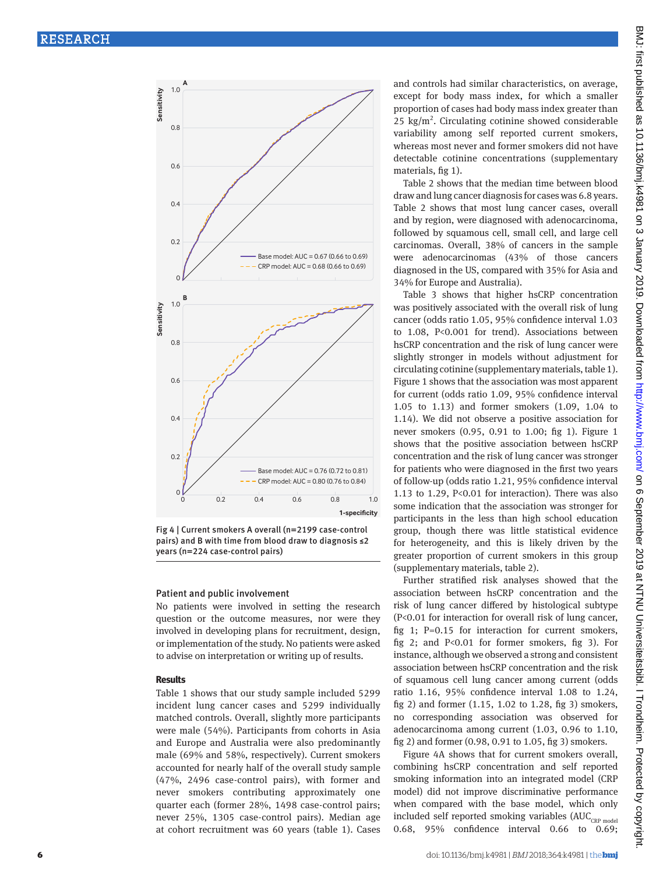

Fig 4 | Current smokers A overall (n=2199 case-control pairs) and B with time from blood draw to diagnosis ≤2 years (n=224 case-control pairs)

#### Patient and public involvement

No patients were involved in setting the research question or the outcome measures, nor were they involved in developing plans for recruitment, design, or implementation of the study. No patients were asked to advise on interpretation or writing up of results.

#### **Results**

Table 1 shows that our study sample included 5299 incident lung cancer cases and 5299 individually matched controls. Overall, slightly more participants were male (54%). Participants from cohorts in Asia and Europe and Australia were also predominantly male (69% and 58%, respectively). Current smokers accounted for nearly half of the overall study sample (47%, 2496 case-control pairs), with former and never smokers contributing approximately one quarter each (former 28%, 1498 case-control pairs; never 25%, 1305 case-control pairs). Median age at cohort recruitment was 60 years (table 1). Cases and controls had similar characteristics, on average, except for body mass index, for which a smaller proportion of cases had body mass index greater than  $25 \text{ kg/m}^2$ . Circulating cotinine showed considerable variability among self reported current smokers, whereas most never and former smokers did not have detectable cotinine concentrations (supplementary materials, fig 1).

Table 2 shows that the median time between blood draw and lung cancer diagnosis for cases was 6.8 years. Table 2 shows that most lung cancer cases, overall and by region, were diagnosed with adenocarcinoma, followed by squamous cell, small cell, and large cell carcinomas. Overall, 38% of cancers in the sample were adenocarcinomas (43% of those cancers diagnosed in the US, compared with 35% for Asia and 34% for Europe and Australia).

Table 3 shows that higher hsCRP concentration was positively associated with the overall risk of lung cancer (odds ratio 1.05, 95% confidence interval 1.03 to 1.08, P<0.001 for trend). Associations between hsCRP concentration and the risk of lung cancer were slightly stronger in models without adjustment for circulating cotinine (supplementary materials, table 1). Figure 1 shows that the association was most apparent for current (odds ratio 1.09, 95% confidence interval 1.05 to 1.13) and former smokers (1.09, 1.04 to 1.14). We did not observe a positive association for never smokers (0.95, 0.91 to 1.00; fig 1). Figure 1 shows that the positive association between hsCRP concentration and the risk of lung cancer was stronger for patients who were diagnosed in the first two years of follow-up (odds ratio 1.21, 95% confidence interval 1.13 to 1.29, P<0.01 for interaction). There was also some indication that the association was stronger for participants in the less than high school education group, though there was little statistical evidence for heterogeneity, and this is likely driven by the greater proportion of current smokers in this group (supplementary materials, table 2).

Further stratified risk analyses showed that the association between hsCRP concentration and the risk of lung cancer differed by histological subtype (P<0.01 for interaction for overall risk of lung cancer, fig 1; P=0.15 for interaction for current smokers, fig 2; and P<0.01 for former smokers, fig 3). For instance, although we observed a strong and consistent association between hsCRP concentration and the risk of squamous cell lung cancer among current (odds ratio 1.16, 95% confidence interval 1.08 to 1.24, fig 2) and former (1.15, 1.02 to 1.28, fig 3) smokers, no corresponding association was observed for adenocarcinoma among current (1.03, 0.96 to 1.10, fig 2) and former (0.98, 0.91 to 1.05, fig 3) smokers.

Figure 4A shows that for current smokers overall, combining hsCRP concentration and self reported smoking information into an integrated model (CRP model) did not improve discriminative performance when compared with the base model, which only included self reported smoking variables  $(AUC_{CRP model})$ 0.68, 95% confidence interval 0.66 to 0.69;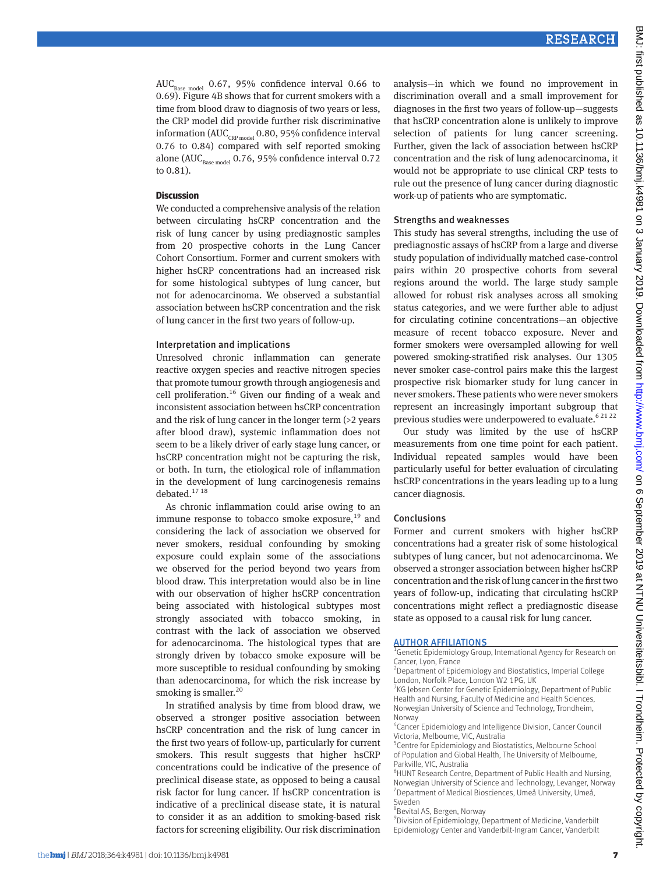$AUC_{Base model}$  0.67, 95% confidence interval 0.66 to 0.69). Figure 4B shows that for current smokers with a time from blood draw to diagnosis of two years or less, the CRP model did provide further risk discriminative information ( $AUC_{CRP model}$  0.80, 95% confidence interval 0.76 to 0.84) compared with self reported smoking alone (AUC $_{\text{Base model}}$  0.76, 95% confidence interval 0.72 to 0.81).

#### **Discussion**

We conducted a comprehensive analysis of the relation between circulating hsCRP concentration and the risk of lung cancer by using prediagnostic samples from 20 prospective cohorts in the Lung Cancer Cohort Consortium. Former and current smokers with higher hsCRP concentrations had an increased risk for some histological subtypes of lung cancer, but not for adenocarcinoma. We observed a substantial association between hsCRP concentration and the risk of lung cancer in the first two years of follow-up.

#### Interpretation and implications

Unresolved chronic inflammation can generate reactive oxygen species and reactive nitrogen species that promote tumour growth through angiogenesis and cell proliferation.<sup>16</sup> Given our finding of a weak and inconsistent association between hsCRP concentration and the risk of lung cancer in the longer term (>2 years after blood draw), systemic inflammation does not seem to be a likely driver of early stage lung cancer, or hsCRP concentration might not be capturing the risk, or both. In turn, the etiological role of inflammation in the development of lung carcinogenesis remains debated. $^{\rm 17\,18}$ 

As chronic inflammation could arise owing to an immune response to tobacco smoke  $exposure, <sup>19</sup>$  and considering the lack of association we observed for never smokers, residual confounding by smoking exposure could explain some of the associations we observed for the period beyond two years from blood draw. This interpretation would also be in line with our observation of higher hsCRP concentration being associated with histological subtypes most strongly associated with tobacco smoking, in contrast with the lack of association we observed for adenocarcinoma. The histological types that are strongly driven by tobacco smoke exposure will be more susceptible to residual confounding by smoking than adenocarcinoma, for which the risk increase by smoking is smaller.<sup>20</sup>

In stratified analysis by time from blood draw, we observed a stronger positive association between hsCRP concentration and the risk of lung cancer in the first two years of follow-up, particularly for current smokers. This result suggests that higher hsCRP concentrations could be indicative of the presence of preclinical disease state, as opposed to being a causal risk factor for lung cancer. If hsCRP concentration is indicative of a preclinical disease state, it is natural to consider it as an addition to smoking-based risk factors for screening eligibility. Our risk discrimination

analysis—in which we found no improvement in discrimination overall and a small improvement for diagnoses in the first two years of follow-up—suggests that hsCRP concentration alone is unlikely to improve selection of patients for lung cancer screening. Further, given the lack of association between hsCRP concentration and the risk of lung adenocarcinoma, it would not be appropriate to use clinical CRP tests to rule out the presence of lung cancer during diagnostic work-up of patients who are symptomatic.

#### Strengths and weaknesses

This study has several strengths, including the use of prediagnostic assays of hsCRP from a large and diverse study population of individually matched case-control pairs within 20 prospective cohorts from several regions around the world. The large study sample allowed for robust risk analyses across all smoking status categories, and we were further able to adjust for circulating cotinine concentrations—an objective measure of recent tobacco exposure. Never and former smokers were oversampled allowing for well powered smoking-stratified risk analyses. Our 1305 never smoker case-control pairs make this the largest prospective risk biomarker study for lung cancer in never smokers. These patients who were never smokers represent an increasingly important subgroup that previous studies were underpowered to evaluate.<sup>62122</sup>

Our study was limited by the use of hsCRP measurements from one time point for each patient. Individual repeated samples would have been particularly useful for better evaluation of circulating hsCRP concentrations in the years leading up to a lung cancer diagnosis.

#### Conclusions

Former and current smokers with higher hsCRP concentrations had a greater risk of some histological subtypes of lung cancer, but not adenocarcinoma. We observed a stronger association between higher hsCRP concentration and the risk of lung cancer in the first two years of follow-up, indicating that circulating hsCRP concentrations might reflect a prediagnostic disease state as opposed to a causal risk for lung cancer.

#### **AUTHOR AFFILIATIONS**

<sup>1</sup>Genetic Epidemiology Group, International Agency for Research on Cancer, Lyon, France

2 Department of Epidemiology and Biostatistics, Imperial College London, Norfolk Place, London W2 1PG, UK

<sup>3</sup>KG Jebsen Center for Genetic Epidemiology, Department of Public Health and Nursing, Faculty of Medicine and Health Sciences, Norwegian University of Science and Technology, Trondheim, Norway

4 Cancer Epidemiology and Intelligence Division, Cancer Council Victoria, Melbourne, VIC, Australia

<sup>5</sup> Centre for Epidemiology and Biostatistics, Melbourne School of Population and Global Health, The University of Melbourne, Parkville, VIC, Australia

6 HUNT Research Centre, Department of Public Health and Nursing, Norwegian University of Science and Technology, Levanger, Norway 7 Department of Medical Biosciences, Umeå University, Umeå, Sweden

8 Bevital AS, Bergen, Norway

9 Division of Epidemiology, Department of Medicine, Vanderbilt Epidemiology Center and Vanderbilt-Ingram Cancer, Vanderbilt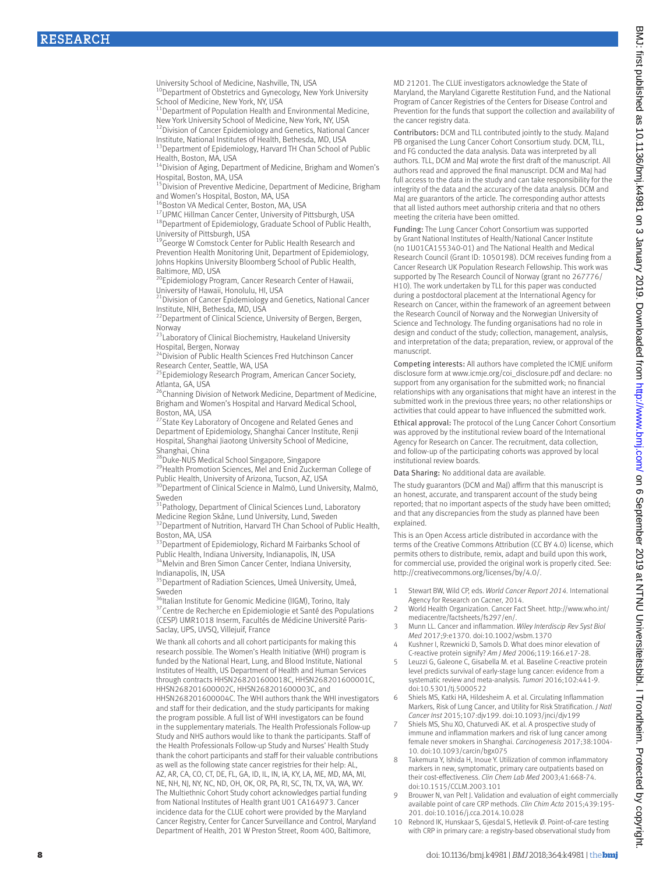University School of Medicine, Nashville, TN, USA

<sup>10</sup>Department of Obstetrics and Gynecology, New York University School of Medicine, New York, NY, USA

<sup>11</sup> Department of Population Health and Environmental Medicine, New York University School of Medicine, New York, NY, USA

<sup>12</sup> Division of Cancer Epidemiology and Genetics, National Cancer Institute, National Institutes of Health, Bethesda, MD, USA

<sup>13</sup>Department of Epidemiology, Harvard TH Chan School of Public Health, Boston, MA, USA

<sup>14</sup>Division of Aging, Department of Medicine, Brigham and Women's Hospital, Boston, MA, USA

 $15$ Division of Preventive Medicine, Department of Medicine, Brigham and Women's Hospital, Boston, MA, USA

<sup>16</sup>Boston VA Medical Center, Boston, MA, USA<br><sup>17</sup>UPMC Hillman Cancer Center, University of Pittsburgh, USA<br><sup>18</sup>Department of Epidemiology, Graduate School of Public Health, University of Pittsburgh, USA

<sup>19</sup>George W Comstock Center for Public Health Research and Prevention Health Monitoring Unit, Department of Epidemiology, Johns Hopkins University Bloomberg School of Public Health, Baltimore, MD, USA

<sup>0</sup>Epidemiology Program, Cancer Research Center of Hawaii, University of Hawaii, Honolulu, HI, USA

<sup>21</sup> Division of Cancer Epidemiology and Genetics, National Cancer Institute, NIH, Bethesda, MD, USA

<sup>22</sup> Department of Clinical Science, University of Bergen, Bergen, Norway

<sup>23</sup> Laboratory of Clinical Biochemistry, Haukeland University Hospital, Bergen, Norway

 $4$ Division of Public Health Sciences Fred Hutchinson Cancer Research Center, Seattle, WA, USA

<sup>25</sup>Epidemiology Research Program, American Cancer Society, Atlanta, GA, USA

<sup>26</sup>Channing Division of Network Medicine, Department of Medicine, Brigham and Women's Hospital and Harvard Medical School, Boston, MA, USA

<sup>27</sup> State Key Laboratory of Oncogene and Related Genes and Department of Epidemiology, Shanghai Cancer Institute, Renji Hospital, Shanghai Jiaotong University School of Medicine, Shanghai, China<br><sup>28</sup>Duke-NUS Medical School Singapore, Singapore

<sup>29</sup>Health Promotion Sciences, Mel and Enid Zuckerman College of Public Health, University of Arizona, Tucson, AZ, USA

<sup>30</sup>Department of Clinical Science in Malmö, Lund University, Malmö, Sweden

<sup>31</sup>Pathology, Department of Clinical Sciences Lund, Laboratory Medicine Region Skåne, Lund University, Lund, Sweden <sup>32</sup>Department of Nutrition, Harvard TH Chan School of Public Health, Boston, MA, USA

<sup>33</sup>Department of Epidemiology, Richard M Fairbanks School of Public Health, Indiana University, Indianapolis, IN, USA <sup>34</sup> Melvin and Bren Simon Cancer Center, Indiana University,

Indianapolis, IN, USA

<sup>35</sup>Department of Radiation Sciences, Umeå University, Umeå, Sweden

<sup>36</sup>Italian Institute for Genomic Medicine (IIGM), Torino, Italy<br><sup>37</sup>Centre de Recherche en Epidemiologie et Santé des Populations (CESP) UMR1018 Inserm, Facultés de Médicine Université Paris-Saclay, UPS, UVSQ, Villejuif, France

We thank all cohorts and all cohort participants for making this research possible. The Women's Health Initiative (WHI) program is funded by the National Heart, Lung, and Blood Institute, National Institutes of Health, US Department of Health and Human Services through contracts HHSN268201600018C, HHSN268201600001C, HHSN268201600002C, HHSN268201600003C, and HHSN268201600004C. The WHI authors thank the WHI investigators and staff for their dedication, and the study participants for making the program possible. A full list of WHI investigators can be found in the supplementary materials. The Health Professionals Follow-up Study and NHS authors would like to thank the participants. Staff of the Health Professionals Follow-up Study and Nurses' Health Study thank the cohort participants and staff for their valuable contributions as well as the following state cancer registries for their help: AL, AZ, AR, CA, CO, CT, DE, FL, GA, ID, IL, IN, IA, KY, LA, ME, MD, MA, MI, NE, NH, NJ, NY, NC, ND, OH, OK, OR, PA, RI, SC, TN, TX, VA, WA, WY. The Multiethnic Cohort Study cohort acknowledges partial funding from National Institutes of Health grant U01 CA164973. Cancer incidence data for the CLUE cohort were provided by the Maryland Cancer Registry, Center for Cancer Surveillance and Control, Maryland Department of Health, 201 W Preston Street, Room 400, Baltimore,

MD 21201. The CLUE investigators acknowledge the State of Maryland, the Maryland Cigarette Restitution Fund, and the National Program of Cancer Registries of the Centers for Disease Control and Prevention for the funds that support the collection and availability of the cancer registry data.

Contributors: DCM and TLL contributed jointly to the study. MaJand PB organised the Lung Cancer Cohort Consortium study. DCM, TLL, and FG conducted the data analysis. Data was interpreted by all authors. TLL, DCM and MaJ wrote the first draft of the manuscript. All authors read and approved the final manuscript. DCM and MaJ had full access to the data in the study and can take responsibility for the integrity of the data and the accuracy of the data analysis. DCM and MaJ are guarantors of the article. The corresponding author attests that all listed authors meet authorship criteria and that no others meeting the criteria have been omitted.

Funding: The Lung Cancer Cohort Consortium was supported by Grant National Institutes of Health/National Cancer Institute (no 1U01CA155340-01) and The National Health and Medical Research Council (Grant ID: 1050198). DCM receives funding from a Cancer Research UK Population Research Fellowship. This work was supported by The Research Council of Norway (grant no 267776/ H10). The work undertaken by TLL for this paper was conducted during a postdoctoral placement at the International Agency for Research on Cancer, within the framework of an agreement between the Research Council of Norway and the Norwegian University of Science and Technology. The funding organisations had no role in design and conduct of the study; collection, management, analysis, and interpretation of the data; preparation, review, or approval of the manuscript.

Competing interests: All authors have completed the ICMJE uniform disclosure form at [www.icmje.org/coi\\_disclosure.pdf](http://www.icmje.org/coi_disclosure.pdf) and declare: no support from any organisation for the submitted work; no financial relationships with any organisations that might have an interest in the submitted work in the previous three years; no other relationships or activities that could appear to have influenced the submitted work.

Ethical approval: The protocol of the Lung Cancer Cohort Consortium was approved by the institutional review board of the International Agency for Research on Cancer. The recruitment, data collection, and follow-up of the participating cohorts was approved by local institutional review boards.

Data Sharing: No additional data are available.

The study guarantors (DCM and MaJ) affirm that this manuscript is an honest, accurate, and transparent account of the study being reported; that no important aspects of the study have been omitted; and that any discrepancies from the study as planned have been explained.

This is an Open Access article distributed in accordance with the terms of the Creative Commons Attribution (CC BY 4.0) license, which permits others to distribute, remix, adapt and build upon this work, for commercial use, provided the original work is properly cited. See: <http://creativecommons.org/licenses/by/4.0/>.

- 1 Stewart BW, Wild CP, eds. *World Cancer Report 2014.* International Agency for Research on Cacner, 2014.
- 2 World Health Organization. Cancer Fact Sheet. [http://www.who.int/](http://www.who.int/mediacentre/factsheets/fs297/en/) [mediacentre/factsheets/fs297/en/](http://www.who.int/mediacentre/factsheets/fs297/en/).
- 3 Munn LL. Cancer and inflammation. *Wiley Interdiscip Rev Syst Biol Med* 2017;9:e1370. doi:10.1002/wsbm.1370
- 4 Kushner I, Rzewnicki D, Samols D. What does minor elevation of C-reactive protein signify? *Am J Med* 2006;119:166.e17-28.
- 5 Leuzzi G, Galeone C, Gisabella M. et al. Baseline C-reactive protein level predicts survival of early-stage lung cancer: evidence from a systematic review and meta-analysis. *Tumori* 2016;102:441-9. doi:10.5301/tj.5000522
- 6 Shiels MS, Katki HA, Hildesheim A. et al. Circulating Inflammation Markers, Risk of Lung Cancer, and Utility for Risk Stratification. *J Natl Cancer Inst* 2015;107:djv199. doi:10.1093/jnci/djv199
- Shiels MS, Shu XO, Chaturvedi AK. et al. A prospective study of immune and inflammation markers and risk of lung cancer among female never smokers in Shanghai. *Carcinogenesis* 2017;38:1004- 10. doi:10.1093/carcin/bgx075
- Takemura Y, Ishida H, Inoue Y. Utilization of common inflammatory markers in new, symptomatic, primary care outpatients based on their cost-effectiveness. *Clin Chem Lab Med* 2003;41:668-74. doi:10.1515/CCLM.2003.101
- Brouwer N, van Pelt J. Validation and evaluation of eight commercially available point of care CRP methods. *Clin Chim Acta* 2015;439:195- 201. doi:10.1016/j.cca.2014.10.028
- 10 Rebnord IK, Hunskaar S, Gjesdal S, Hetlevik Ø. Point-of-care testing with CRP in primary care: a registry-based observational study from